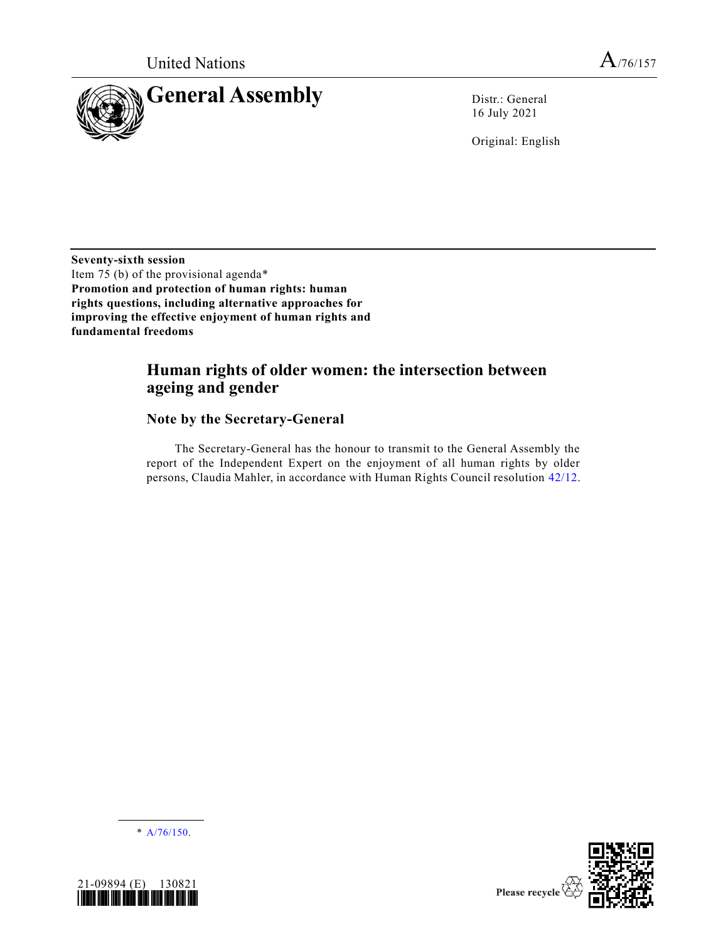

16 July 2021

Original: English

**Seventy-sixth session** Item 75 (b) of the provisional agenda\* **Promotion and protection of human rights: human rights questions, including alternative approaches for improving the effective enjoyment of human rights and fundamental freedoms**

# **Human rights of older women: the intersection between ageing and gender**

### **Note by the Secretary-General**

The Secretary-General has the honour to transmit to the General Assembly the report of the Independent Expert on the enjoyment of all human rights by older persons, Claudia Mahler, in accordance with Human Rights Council resolution [42/12.](https://undocs.org/en/A/HRC/RES/42/12)

**\_\_\_\_\_\_\_\_\_\_\_\_\_\_\_\_\_\_**  $*$  [A/76/150.](https://undocs.org/en/A/76/150)



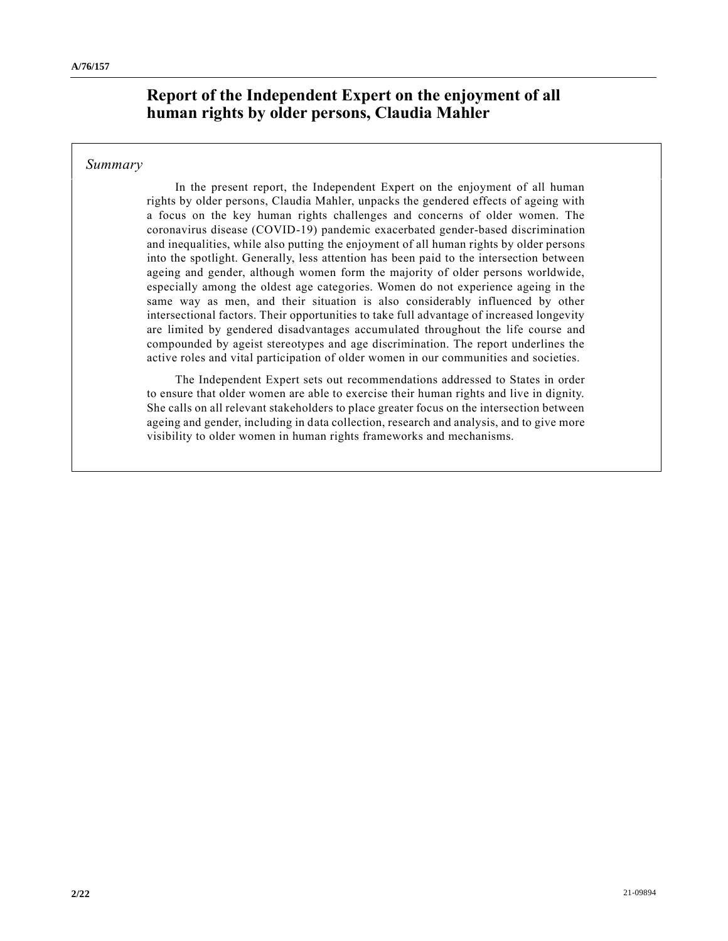# **Report of the Independent Expert on the enjoyment of all human rights by older persons, Claudia Mahler**

#### *Summary*

In the present report, the Independent Expert on the enjoyment of all human rights by older persons, Claudia Mahler, unpacks the gendered effects of ageing with a focus on the key human rights challenges and concerns of older women. The coronavirus disease (COVID-19) pandemic exacerbated gender-based discrimination and inequalities, while also putting the enjoyment of all human rights by older persons into the spotlight. Generally, less attention has been paid to the intersection between ageing and gender, although women form the majority of older persons worldwide, especially among the oldest age categories. Women do not experience ageing in the same way as men, and their situation is also considerably influenced by other intersectional factors. Their opportunities to take full advantage of increased longevity are limited by gendered disadvantages accumulated throughout the life course and compounded by ageist stereotypes and age discrimination. The report underlines the active roles and vital participation of older women in our communities and societies.

The Independent Expert sets out recommendations addressed to States in order to ensure that older women are able to exercise their human rights and live in dignity. She calls on all relevant stakeholders to place greater focus on the intersection between ageing and gender, including in data collection, research and analysis, and to give more visibility to older women in human rights frameworks and mechanisms.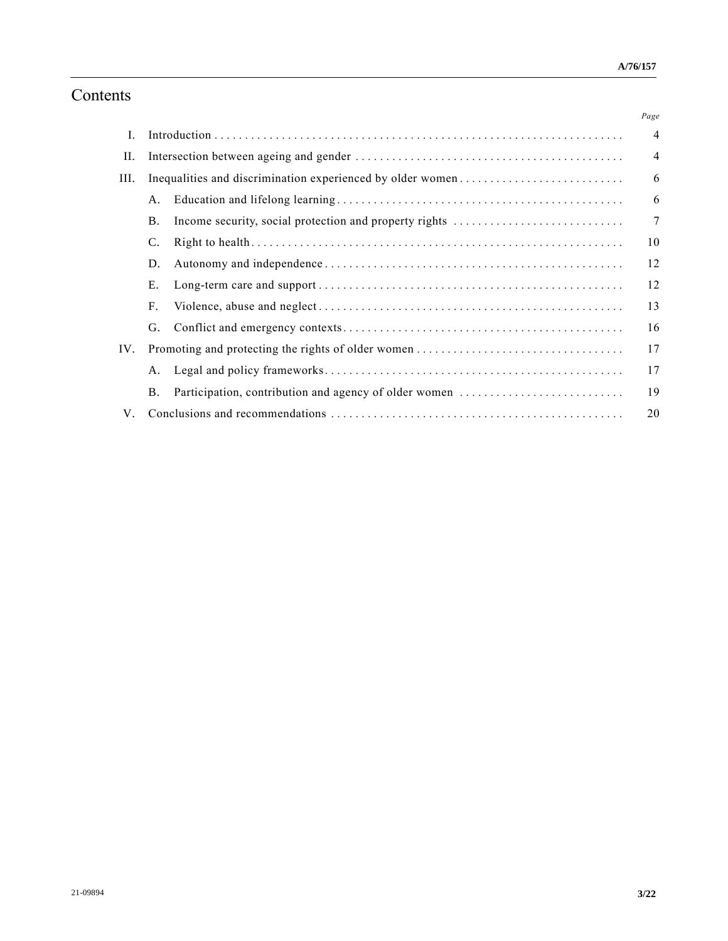# Contents

|      |                                                            |                                                       | Page           |
|------|------------------------------------------------------------|-------------------------------------------------------|----------------|
| I.   |                                                            |                                                       | $\overline{4}$ |
| П.   |                                                            |                                                       | $\overline{4}$ |
| III. | Inequalities and discrimination experienced by older women |                                                       | 6              |
|      | Α.                                                         |                                                       | 6              |
|      | <b>B.</b>                                                  |                                                       | $\overline{7}$ |
|      | C.                                                         |                                                       | 10             |
|      | D.                                                         |                                                       | 12             |
|      | Ε.                                                         |                                                       | 12             |
|      | F.                                                         |                                                       | 13             |
|      | G.                                                         |                                                       | 16             |
| IV.  |                                                            |                                                       | 17             |
|      | А.                                                         |                                                       | 17             |
|      | <b>B.</b>                                                  | Participation, contribution and agency of older women | 19             |
| V.   |                                                            |                                                       | 20             |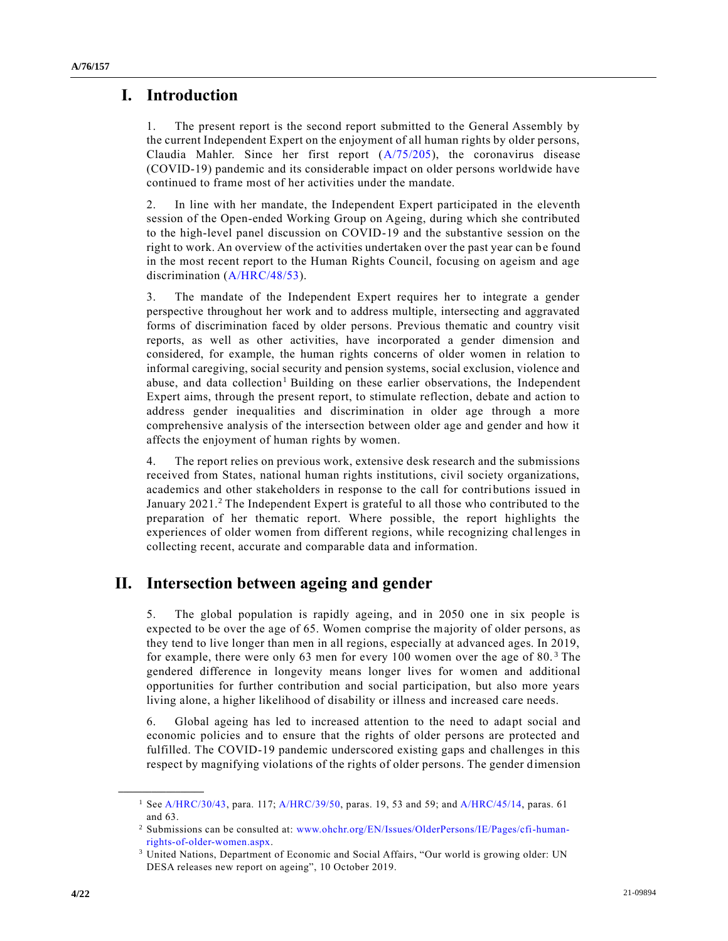# **I. Introduction**

1. The present report is the second report submitted to the General Assembly by the current Independent Expert on the enjoyment of all human rights by older persons, Claudia Mahler. Since her first report [\(A/75/205\)](https://undocs.org/en/A/75/205), the coronavirus disease (COVID-19) pandemic and its considerable impact on older persons worldwide have continued to frame most of her activities under the mandate.

2. In line with her mandate, the Independent Expert participated in the eleventh session of the Open-ended Working Group on Ageing, during which she contributed to the high-level panel discussion on COVID-19 and the substantive session on the right to work. An overview of the activities undertaken over the past year can be found in the most recent report to the Human Rights Council, focusing on ageism and age discrimination [\(A/HRC/48/53\)](https://undocs.org/en/A/HRC/48/53).

3. The mandate of the Independent Expert requires her to integrate a gender perspective throughout her work and to address multiple, intersecting and aggravated forms of discrimination faced by older persons. Previous thematic and country visit reports, as well as other activities, have incorporated a gender dimension and considered, for example, the human rights concerns of older women in relation to informal caregiving, social security and pension systems, social exclusion, violence and abuse, and data collection<sup>1</sup> Building on these earlier observations, the Independent Expert aims, through the present report, to stimulate reflection, debate and action to address gender inequalities and discrimination in older age through a more comprehensive analysis of the intersection between older age and gender and how it affects the enjoyment of human rights by women.

4. The report relies on previous work, extensive desk research and the submissions received from States, national human rights institutions, civil society organizations, academics and other stakeholders in response to the call for contributions issued in January 2021.<sup>2</sup> The Independent Expert is grateful to all those who contributed to the preparation of her thematic report. Where possible, the report highlights the experiences of older women from different regions, while recognizing challenges in collecting recent, accurate and comparable data and information.

# **II. Intersection between ageing and gender**

5. The global population is rapidly ageing, and in 2050 one in six people is expected to be over the age of 65. Women comprise the majority of older persons, as they tend to live longer than men in all regions, especially at advanced ages. In 2019, for example, there were only 63 men for every 100 women over the age of 80. <sup>3</sup> The gendered difference in longevity means longer lives for women and additional opportunities for further contribution and social participation, but also more years living alone, a higher likelihood of disability or illness and increased care needs.

6. Global ageing has led to increased attention to the need to adapt social and economic policies and to ensure that the rights of older persons are protected and fulfilled. The COVID-19 pandemic underscored existing gaps and challenges in this respect by magnifying violations of the rights of older persons. The gender dimension

<sup>1</sup> Se[e A/HRC/30/43,](https://undocs.org/en/A/HRC/30/43) para. 117[; A/HRC/39/50,](https://undocs.org/en/A/HRC/39/50) paras. 19, 53 and 59; and [A/HRC/45/14,](https://undocs.org/en/A/HRC/45/14) paras. 61 and 63.

<sup>2</sup> Submissions can be consulted at: [www.ohchr.org/EN/Issues/OlderPersons/IE/Pages/cfi-human](https://www.ohchr.org/EN/Issues/OlderPersons/IE/Pages/cfi-human-rights-of-older-women.aspx)[rights-of-older-women.aspx.](https://www.ohchr.org/EN/Issues/OlderPersons/IE/Pages/cfi-human-rights-of-older-women.aspx)

<sup>3</sup> United Nations, Department of Economic and Social Affairs, "Our world is growing older: UN DESA releases new report on ageing", 10 October 2019.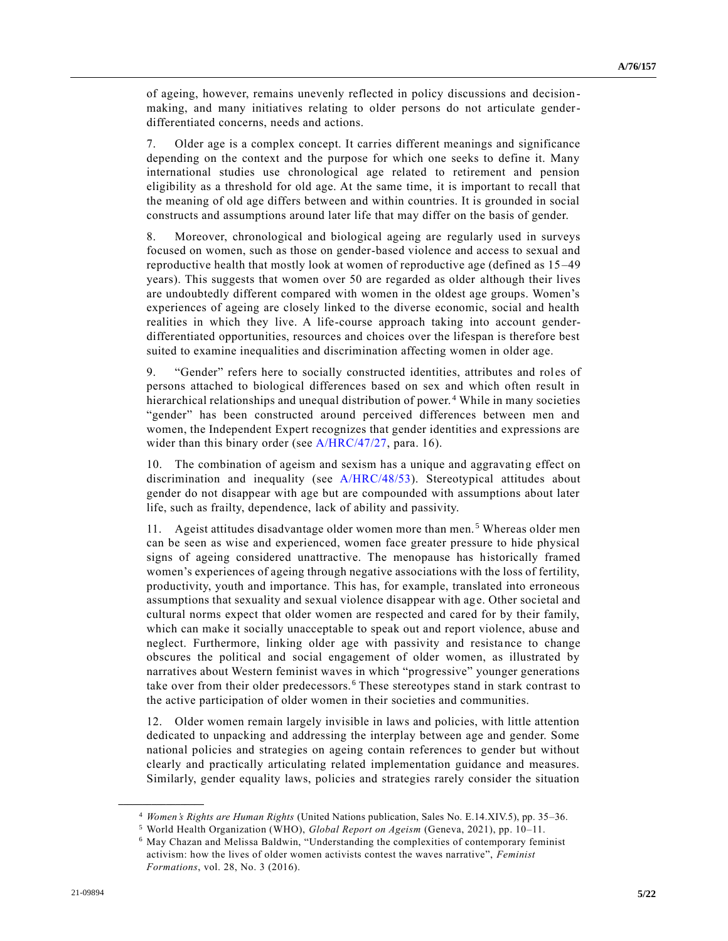of ageing, however, remains unevenly reflected in policy discussions and decision making, and many initiatives relating to older persons do not articulate genderdifferentiated concerns, needs and actions.

7. Older age is a complex concept. It carries different meanings and significance depending on the context and the purpose for which one seeks to define it. Many international studies use chronological age related to retirement and pension eligibility as a threshold for old age. At the same time, it is important to recall that the meaning of old age differs between and within countries. It is grounded in social constructs and assumptions around later life that may differ on the basis of gender.

8. Moreover, chronological and biological ageing are regularly used in surveys focused on women, such as those on gender-based violence and access to sexual and reproductive health that mostly look at women of reproductive age (defined as 15 –49 years). This suggests that women over 50 are regarded as older although their lives are undoubtedly different compared with women in the oldest age groups. Women's experiences of ageing are closely linked to the diverse economic, social and health realities in which they live. A life-course approach taking into account genderdifferentiated opportunities, resources and choices over the lifespan is therefore best suited to examine inequalities and discrimination affecting women in older age.

9. "Gender" refers here to socially constructed identities, attributes and roles of persons attached to biological differences based on sex and which often result in hierarchical relationships and unequal distribution of power.<sup>4</sup> While in many societies "gender" has been constructed around perceived differences between men and women, the Independent Expert recognizes that gender identities and expressions are wider than this binary order (see [A/HRC/47/27,](https://undocs.org/en/A/HRC/47/27) para. 16).

10. The combination of ageism and sexism has a unique and aggravating effect on discrimination and inequality (see [A/HRC/48/53\)](https://undocs.org/en/A/HRC/48/53). Stereotypical attitudes about gender do not disappear with age but are compounded with assumptions about later life, such as frailty, dependence, lack of ability and passivity.

11. Ageist attitudes disadvantage older women more than men. <sup>5</sup> Whereas older men can be seen as wise and experienced, women face greater pressure to hide physical signs of ageing considered unattractive. The menopause has historically framed women's experiences of ageing through negative associations with the loss of fertility, productivity, youth and importance. This has, for example, translated into erroneous assumptions that sexuality and sexual violence disappear with age. Other societal and cultural norms expect that older women are respected and cared for by their family, which can make it socially unacceptable to speak out and report violence, abuse and neglect. Furthermore, linking older age with passivity and resistance to change obscures the political and social engagement of older women, as illustrated by narratives about Western feminist waves in which "progressive" younger generations take over from their older predecessors. <sup>6</sup> These stereotypes stand in stark contrast to the active participation of older women in their societies and communities.

12. Older women remain largely invisible in laws and policies, with little attention dedicated to unpacking and addressing the interplay between age and gender. Some national policies and strategies on ageing contain references to gender but without clearly and practically articulating related implementation guidance and measures. Similarly, gender equality laws, policies and strategies rarely consider the situation

<sup>4</sup> *Women's Rights are Human Rights* (United Nations publication, Sales No. E.14.XIV.5), pp. 35–36.

<sup>5</sup> World Health Organization (WHO), *Global Report on Ageism* (Geneva, 2021), pp. 10–11.

<sup>6</sup> May Chazan and Melissa Baldwin, "Understanding the complexities of contemporary feminist activism: how the lives of older women activists contest the waves narrative", *Feminist Formations*, vol. 28, No. 3 (2016).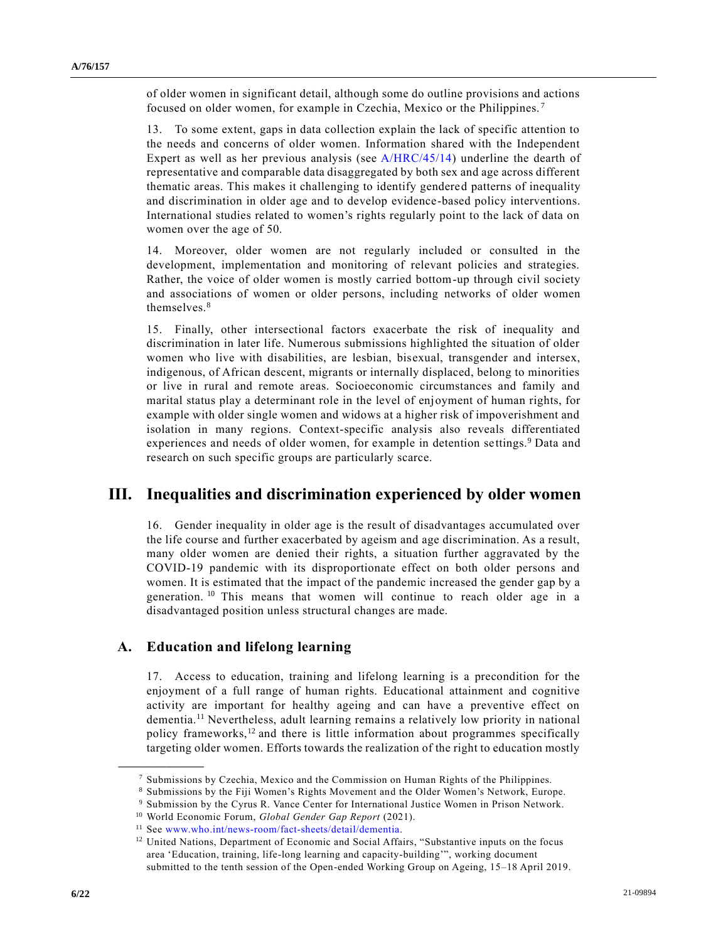of older women in significant detail, although some do outline provisions and actions focused on older women, for example in Czechia, Mexico or the Philippines. <sup>7</sup>

13. To some extent, gaps in data collection explain the lack of specific attention to the needs and concerns of older women. Information shared with the Independent Expert as well as her previous analysis (see [A/HRC/45/14\)](https://undocs.org/en/A/HRC/45/14) underline the dearth of representative and comparable data disaggregated by both sex and age across different thematic areas. This makes it challenging to identify gendered patterns of inequality and discrimination in older age and to develop evidence-based policy interventions. International studies related to women's rights regularly point to the lack of data on women over the age of 50.

14. Moreover, older women are not regularly included or consulted in the development, implementation and monitoring of relevant policies and strategies. Rather, the voice of older women is mostly carried bottom-up through civil society and associations of women or older persons, including networks of older women themselves.<sup>8</sup>

15. Finally, other intersectional factors exacerbate the risk of inequality and discrimination in later life. Numerous submissions highlighted the situation of older women who live with disabilities, are lesbian, bisexual, transgender and intersex, indigenous, of African descent, migrants or internally displaced, belong to minorities or live in rural and remote areas. Socioeconomic circumstances and family and marital status play a determinant role in the level of enjoyment of human rights, for example with older single women and widows at a higher risk of impoverishment and isolation in many regions. Context-specific analysis also reveals differentiated experiences and needs of older women, for example in detention settings.<sup>9</sup> Data and research on such specific groups are particularly scarce.

### **III. Inequalities and discrimination experienced by older women**

16. Gender inequality in older age is the result of disadvantages accumulated over the life course and further exacerbated by ageism and age discrimination. As a result, many older women are denied their rights, a situation further aggravated by the COVID-19 pandemic with its disproportionate effect on both older persons and women. It is estimated that the impact of the pandemic increased the gender gap by a generation.<sup>10</sup> This means that women will continue to reach older age in a disadvantaged position unless structural changes are made.

### **A. Education and lifelong learning**

**\_\_\_\_\_\_\_\_\_\_\_\_\_\_\_\_\_\_**

17. Access to education, training and lifelong learning is a precondition for the enjoyment of a full range of human rights. Educational attainment and cognitive activity are important for healthy ageing and can have a preventive effect on dementia.<sup>11</sup> Nevertheless, adult learning remains a relatively low priority in national policy frameworks,<sup>12</sup> and there is little information about programmes specifically targeting older women. Efforts towards the realization of the right to education mostly

<sup>7</sup> Submissions by Czechia, Mexico and the Commission on Human Rights of the Philippines.

<sup>8</sup> Submissions by the Fiji Women's Rights Movement and the Older Women's Network, Europe.

<sup>9</sup> Submission by the Cyrus R. Vance Center for International Justice Women in Prison Network.

<sup>10</sup> World Economic Forum, *Global Gender Gap Report* (2021).

<sup>11</sup> See [www.who.int/news-room/fact-sheets/detail/dementia.](https://www.who.int/news-room/fact-sheets/detail/dementia)

<sup>&</sup>lt;sup>12</sup> United Nations, Department of Economic and Social Affairs, "Substantive inputs on the focus area 'Education, training, life-long learning and capacity-building'", working document submitted to the tenth session of the Open-ended Working Group on Ageing, 15–18 April 2019.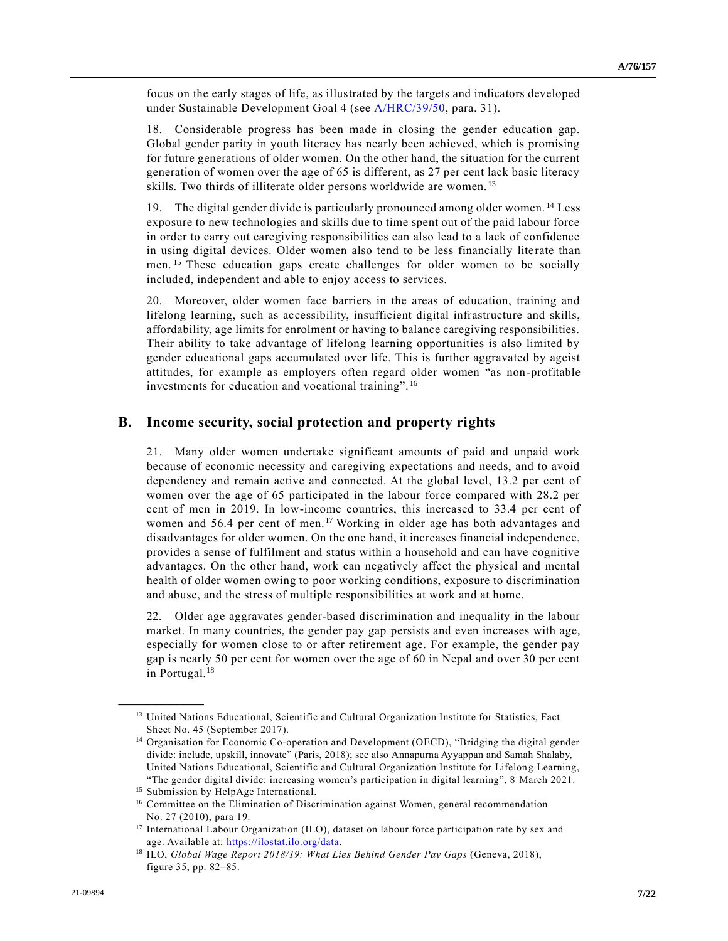focus on the early stages of life, as illustrated by the targets and indicators developed under Sustainable Development Goal 4 (see [A/HRC/39/50,](https://undocs.org/en/A/HRC/39/50) para. 31).

18. Considerable progress has been made in closing the gender education gap. Global gender parity in youth literacy has nearly been achieved, which is promising for future generations of older women. On the other hand, the situation for the current generation of women over the age of 65 is different, as 27 per cent lack basic literacy skills. Two thirds of illiterate older persons worldwide are women.<sup>13</sup>

19. The digital gender divide is particularly pronounced among older women. <sup>14</sup> Less exposure to new technologies and skills due to time spent out of the paid labour force in order to carry out caregiving responsibilities can also lead to a lack of confidence in using digital devices. Older women also tend to be less financially lite rate than men.<sup>15</sup> These education gaps create challenges for older women to be socially included, independent and able to enjoy access to services.

20. Moreover, older women face barriers in the areas of education, training and lifelong learning, such as accessibility, insufficient digital infrastructure and skills, affordability, age limits for enrolment or having to balance caregiving responsibilities. Their ability to take advantage of lifelong learning opportunities is also limited by gender educational gaps accumulated over life. This is further aggravated by ageist attitudes, for example as employers often regard older women "as non-profitable investments for education and vocational training". <sup>16</sup>

#### **B. Income security, social protection and property rights**

21. Many older women undertake significant amounts of paid and unpaid work because of economic necessity and caregiving expectations and needs, and to avoid dependency and remain active and connected. At the global level, 13.2 per cent of women over the age of 65 participated in the labour force compared with 28.2 per cent of men in 2019. In low-income countries, this increased to 33.4 per cent of women and 56.4 per cent of men.<sup>17</sup> Working in older age has both advantages and disadvantages for older women. On the one hand, it increases financial independence, provides a sense of fulfilment and status within a household and can have cognitive advantages. On the other hand, work can negatively affect the physical and mental health of older women owing to poor working conditions, exposure to discrimination and abuse, and the stress of multiple responsibilities at work and at home.

22. Older age aggravates gender-based discrimination and inequality in the labour market. In many countries, the gender pay gap persists and even increases with age, especially for women close to or after retirement age. For example, the gender pay gap is nearly 50 per cent for women over the age of 60 in Nepal and over 30 per cent in Portugal.<sup>18</sup>

<sup>&</sup>lt;sup>13</sup> United Nations Educational, Scientific and Cultural Organization Institute for Statistics, Fact Sheet No. 45 (September 2017).

<sup>&</sup>lt;sup>14</sup> Organisation for Economic Co-operation and Development (OECD), "Bridging the digital gender divide: include, upskill, innovate" (Paris, 2018); see also Annapurna Ayyappan and Samah Shalaby, United Nations Educational, Scientific and Cultural Organization Institute for Lifelong Learning, "The gender digital divide: increasing women's participation in digital learning", 8 March 2021.

<sup>15</sup> Submission by HelpAge International.

<sup>&</sup>lt;sup>16</sup> Committee on the Elimination of Discrimination against Women, general recommendation No. 27 (2010), para 19.

<sup>&</sup>lt;sup>17</sup> International Labour Organization (ILO), dataset on labour force participation rate by sex and age. Available at: [https://ilostat.ilo.org/data.](https://ilostat.ilo.org/data/)

<sup>18</sup> ILO, *Global Wage Report 2018/19: What Lies Behind Gender Pay Gaps* (Geneva, 2018), figure 35, pp. 82–85.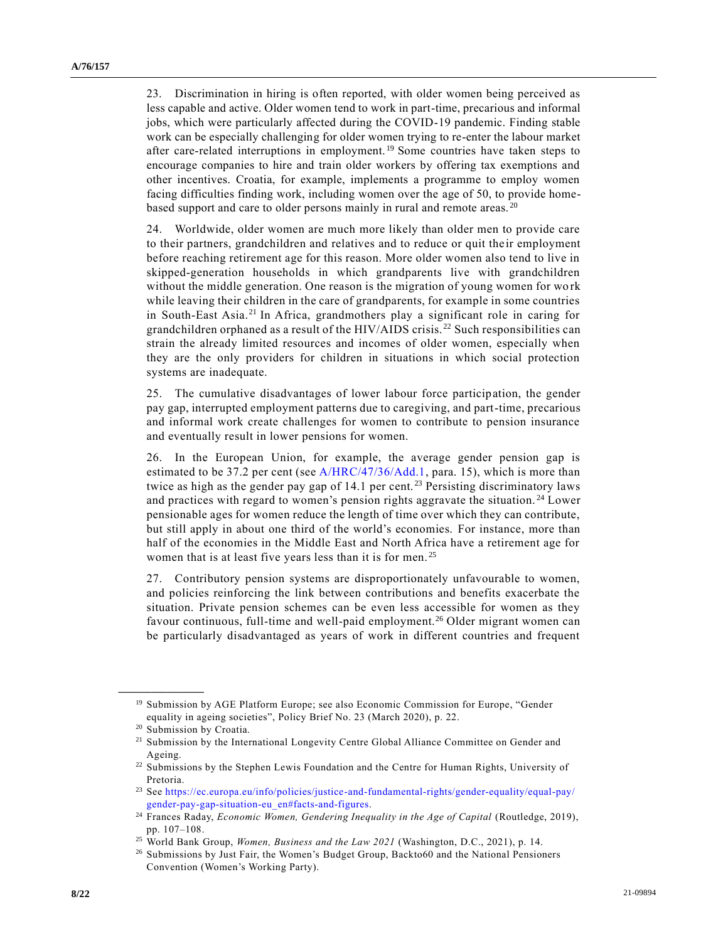23. Discrimination in hiring is often reported, with older women being perceived as less capable and active. Older women tend to work in part-time, precarious and informal jobs, which were particularly affected during the COVID-19 pandemic. Finding stable work can be especially challenging for older women trying to re-enter the labour market after care-related interruptions in employment.<sup>19</sup> Some countries have taken steps to encourage companies to hire and train older workers by offering tax exemptions and other incentives. Croatia, for example, implements a programme to employ women facing difficulties finding work, including women over the age of 50, to provide homebased support and care to older persons mainly in rural and remote areas. <sup>20</sup>

24. Worldwide, older women are much more likely than older men to provide care to their partners, grandchildren and relatives and to reduce or quit their employment before reaching retirement age for this reason. More older women also tend to live in skipped-generation households in which grandparents live with grandchildren without the middle generation. One reason is the migration of young women for wo rk while leaving their children in the care of grandparents, for example in some countries in South-East Asia.<sup>21</sup> In Africa, grandmothers play a significant role in caring for grandchildren orphaned as a result of the HIV/AIDS crisis. <sup>22</sup> Such responsibilities can strain the already limited resources and incomes of older women, especially when they are the only providers for children in situations in which social protection systems are inadequate.

25. The cumulative disadvantages of lower labour force participation, the gender pay gap, interrupted employment patterns due to caregiving, and part-time, precarious and informal work create challenges for women to contribute to pension insurance and eventually result in lower pensions for women.

26. In the European Union, for example, the average gender pension gap is estimated to be 37.2 per cent (see [A/HRC/47/36/Add.1,](https://undocs.org/en/A/HRC/47/36/Add.1) para. 15), which is more than twice as high as the gender pay gap of  $14.1$  per cent.<sup>23</sup> Persisting discriminatory laws and practices with regard to women's pension rights aggravate the situation. <sup>24</sup> Lower pensionable ages for women reduce the length of time over which they can contribute, but still apply in about one third of the world's economies. For instance, more than half of the economies in the Middle East and North Africa have a retirement age for women that is at least five years less than it is for men.<sup>25</sup>

27. Contributory pension systems are disproportionately unfavourable to women, and policies reinforcing the link between contributions and benefits exacerbate the situation. Private pension schemes can be even less accessible for women as they favour continuous, full-time and well-paid employment.<sup>26</sup> Older migrant women can be particularly disadvantaged as years of work in different countries and frequent

<sup>&</sup>lt;sup>19</sup> Submission by AGE Platform Europe; see also Economic Commission for Europe, "Gender equality in ageing societies", Policy Brief No. 23 (March 2020), p. 22.

<sup>20</sup> Submission by Croatia.

<sup>21</sup> Submission by the International Longevity Centre Global Alliance Committee on Gender and Ageing.

<sup>22</sup> Submissions by the Stephen Lewis Foundation and the Centre for Human Rights, University of Pretoria.

<sup>23</sup> See [https://ec.europa.eu/info/policies/justice-and-fundamental-rights/gender-equality/equal-pay/](https://ec.europa.eu/info/policies/justice-and-fundamental-rights/gender-equality/equal-pay/gender-pay-gap-situation-eu_en#facts-and-figures) [gender-pay-gap-situation-eu\\_en#facts-and-figures.](https://ec.europa.eu/info/policies/justice-and-fundamental-rights/gender-equality/equal-pay/gender-pay-gap-situation-eu_en#facts-and-figures)

<sup>24</sup> Frances Raday, *Economic Women, Gendering Inequality in the Age of Capital* (Routledge, 2019), pp. 107–108.

<sup>25</sup> World Bank Group, *Women, Business and the Law 2021* (Washington, D.C., 2021), p. 14.

<sup>26</sup> Submissions by Just Fair, the Women's Budget Group, Backto60 and the National Pensioners Convention (Women's Working Party).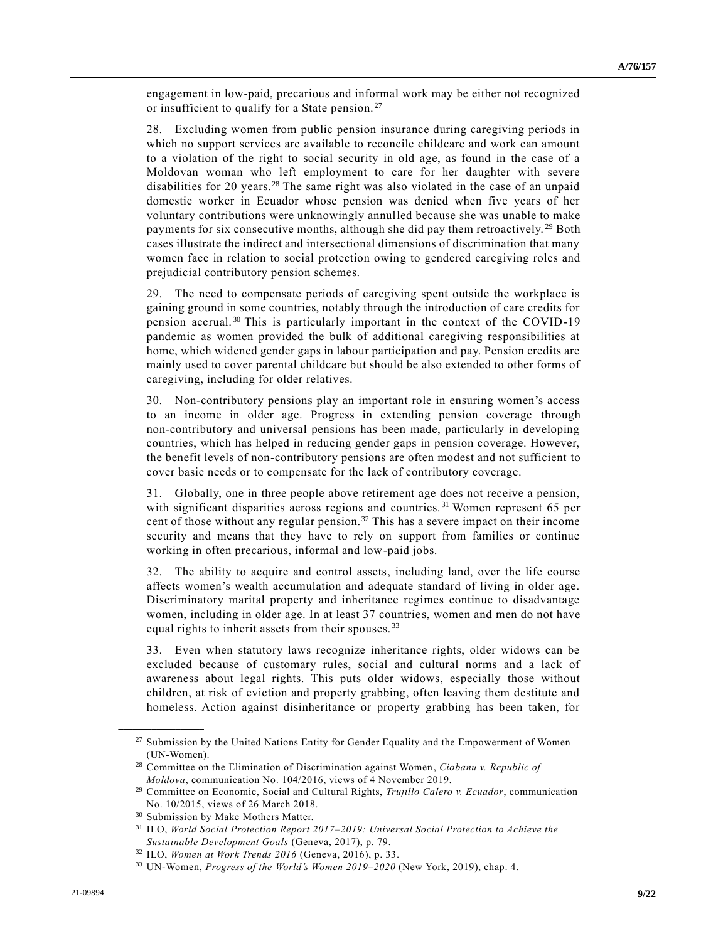engagement in low-paid, precarious and informal work may be either not recognized or insufficient to qualify for a State pension.<sup>27</sup>

28. Excluding women from public pension insurance during caregiving periods in which no support services are available to reconcile childcare and work can amount to a violation of the right to social security in old age, as found in the case of a Moldovan woman who left employment to care for her daughter with severe disabilities for 20 years.<sup>28</sup> The same right was also violated in the case of an unpaid domestic worker in Ecuador whose pension was denied when five years of her voluntary contributions were unknowingly annulled because she was unable to make payments for six consecutive months, although she did pay them retroactively.<sup>29</sup> Both cases illustrate the indirect and intersectional dimensions of discrimination that many women face in relation to social protection owing to gendered caregiving roles and prejudicial contributory pension schemes.

29. The need to compensate periods of caregiving spent outside the workplace is gaining ground in some countries, notably through the introduction of care credits for pension accrual.<sup>30</sup> This is particularly important in the context of the COVID-19 pandemic as women provided the bulk of additional caregiving responsibilities at home, which widened gender gaps in labour participation and pay. Pension credits are mainly used to cover parental childcare but should be also extended to other forms of caregiving, including for older relatives.

30. Non-contributory pensions play an important role in ensuring women's access to an income in older age. Progress in extending pension coverage through non-contributory and universal pensions has been made, particularly in developing countries, which has helped in reducing gender gaps in pension coverage. However, the benefit levels of non-contributory pensions are often modest and not sufficient to cover basic needs or to compensate for the lack of contributory coverage.

31. Globally, one in three people above retirement age does not receive a pension, with significant disparities across regions and countries.<sup>31</sup> Women represent 65 per cent of those without any regular pension.<sup>32</sup> This has a severe impact on their income security and means that they have to rely on support from families or continue working in often precarious, informal and low-paid jobs.

32. The ability to acquire and control assets, including land, over the life course affects women's wealth accumulation and adequate standard of living in older age. Discriminatory marital property and inheritance regimes continue to disadvantage women, including in older age. In at least 37 countries, women and men do not have equal rights to inherit assets from their spouses.<sup>33</sup>

33. Even when statutory laws recognize inheritance rights, older widows can be excluded because of customary rules, social and cultural norms and a lack of awareness about legal rights. This puts older widows, especially those without children, at risk of eviction and property grabbing, often leaving them destitute and homeless. Action against disinheritance or property grabbing has been taken, for

<sup>&</sup>lt;sup>27</sup> Submission by the United Nations Entity for Gender Equality and the Empowerment of Women (UN-Women).

<sup>28</sup> Committee on the Elimination of Discrimination against Women, *Ciobanu v. Republic of Moldova*, communication No. 104/2016, views of 4 November 2019.

<sup>29</sup> Committee on Economic, Social and Cultural Rights, *Trujillo Calero v. Ecuador*, communication No. 10/2015, views of 26 March 2018.

<sup>30</sup> Submission by Make Mothers Matter.

<sup>31</sup> ILO, *World Social Protection Report 2017–2019: Universal Social Protection to Achieve the Sustainable Development Goals* (Geneva, 2017), p. 79.

<sup>32</sup> ILO, *Women at Work Trends 2016* (Geneva, 2016), p. 33.

<sup>33</sup> UN-Women, *Progress of the World's Women 2019–2020* (New York, 2019), chap. 4.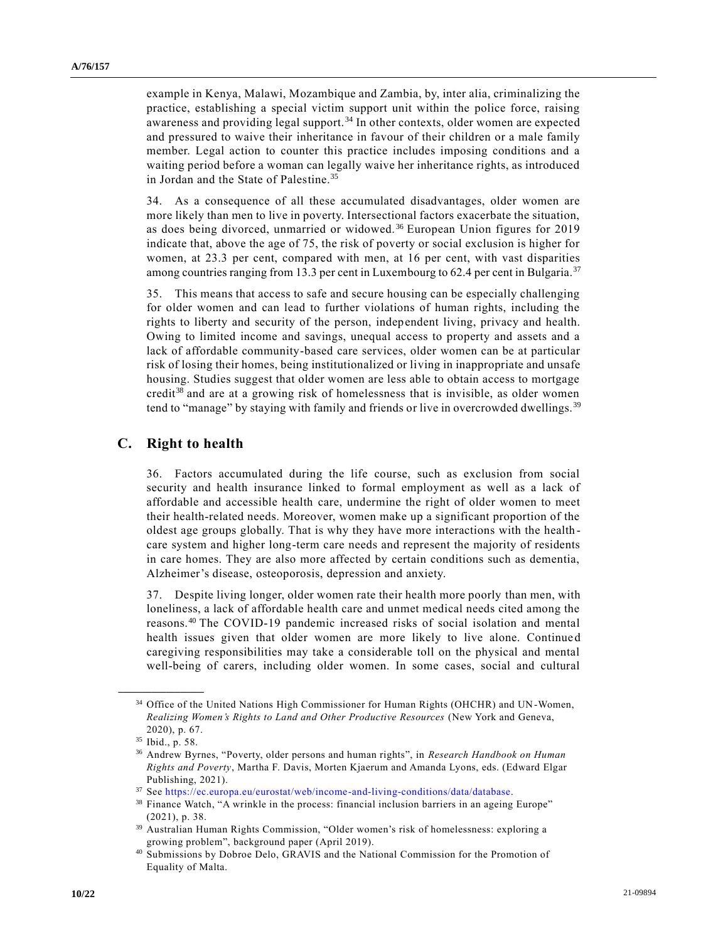example in Kenya, Malawi, Mozambique and Zambia, by, inter alia, criminalizing the practice, establishing a special victim support unit within the police force, raising awareness and providing legal support.<sup>34</sup> In other contexts, older women are expected and pressured to waive their inheritance in favour of their children or a male family member. Legal action to counter this practice includes imposing conditions and a waiting period before a woman can legally waive her inheritance rights, as introduced in Jordan and the State of Palestine.<sup>35</sup>

34. As a consequence of all these accumulated disadvantages, older women are more likely than men to live in poverty. Intersectional factors exacerbate the situation, as does being divorced, unmarried or widowed. <sup>36</sup> European Union figures for 2019 indicate that, above the age of 75, the risk of poverty or social exclusion is higher for women, at 23.3 per cent, compared with men, at 16 per cent, with vast disparities among countries ranging from 13.3 per cent in Luxembourg to 62.4 per cent in Bulgaria.<sup>37</sup>

35. This means that access to safe and secure housing can be especially challenging for older women and can lead to further violations of human rights, including the rights to liberty and security of the person, independent living, privacy and health. Owing to limited income and savings, unequal access to property and assets and a lack of affordable community-based care services, older women can be at particular risk of losing their homes, being institutionalized or living in inappropriate and unsafe housing. Studies suggest that older women are less able to obtain access to mortgage credit<sup>38</sup> and are at a growing risk of homelessness that is invisible, as older women tend to "manage" by staying with family and friends or live in overcrowded dwellings.<sup>39</sup>

#### **C. Right to health**

36. Factors accumulated during the life course, such as exclusion from social security and health insurance linked to formal employment as well as a lack of affordable and accessible health care, undermine the right of older women to meet their health-related needs. Moreover, women make up a significant proportion of the oldest age groups globally. That is why they have more interactions with the health care system and higher long-term care needs and represent the majority of residents in care homes. They are also more affected by certain conditions such as dementia, Alzheimer's disease, osteoporosis, depression and anxiety.

37. Despite living longer, older women rate their health more poorly than men, with loneliness, a lack of affordable health care and unmet medical needs cited among the reasons.<sup>40</sup> The COVID-19 pandemic increased risks of social isolation and mental health issues given that older women are more likely to live alone. Continue d caregiving responsibilities may take a considerable toll on the physical and mental well-being of carers, including older women. In some cases, social and cultural

<sup>34</sup> Office of the United Nations High Commissioner for Human Rights (OHCHR) and UN-Women, *Realizing Women's Rights to Land and Other Productive Resources* (New York and Geneva, 2020), p. 67.

<sup>35</sup> Ibid., p. 58.

<sup>36</sup> Andrew Byrnes, "Poverty, older persons and human rights", in *Research Handbook on Human Rights and Poverty*, Martha F. Davis, Morten Kjaerum and Amanda Lyons, eds. (Edward Elgar Publishing, 2021).

 $^{37}$  See [https://ec.europa.eu/eurostat/web/income-and-living-conditions/data/database.](https://ec.europa.eu/eurostat/web/income-and-living-conditions/data/database)

<sup>&</sup>lt;sup>38</sup> Finance Watch, "A wrinkle in the process: financial inclusion barriers in an ageing Europe" (2021), p. 38.

<sup>39</sup> Australian Human Rights Commission, "Older women's risk of homelessness: exploring a growing problem", background paper (April 2019).

<sup>40</sup> Submissions by Dobroe Delo, GRAVIS and the National Commission for the Promotion of Equality of Malta.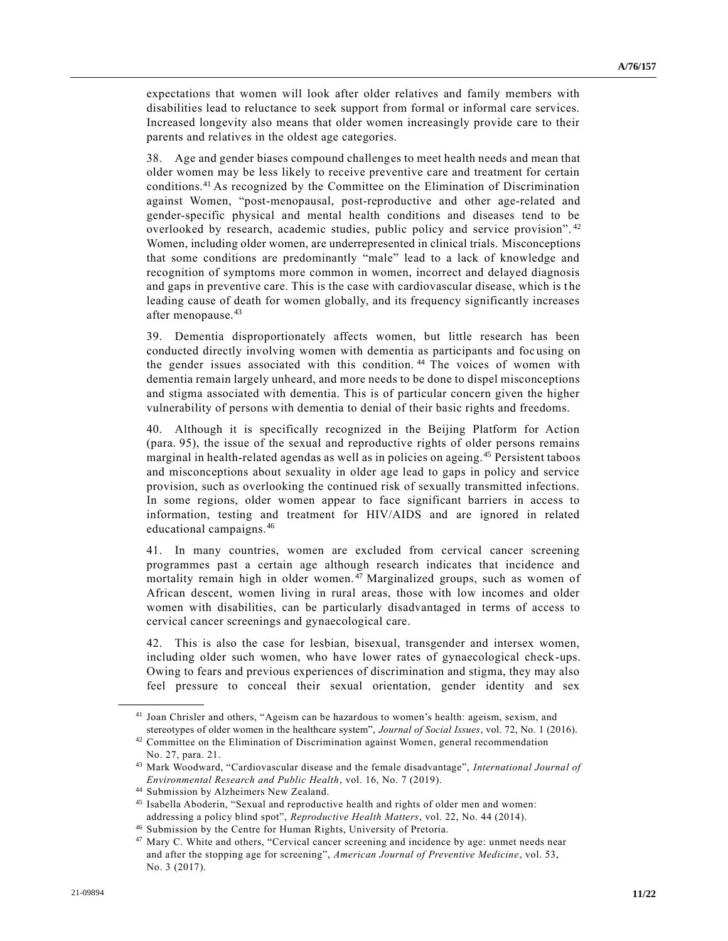expectations that women will look after older relatives and family members with disabilities lead to reluctance to seek support from formal or informal care services. Increased longevity also means that older women increasingly provide care to their parents and relatives in the oldest age categories.

38. Age and gender biases compound challenges to meet health needs and mean that older women may be less likely to receive preventive care and treatment for certain conditions.<sup>41</sup> As recognized by the Committee on the Elimination of Discrimination against Women, "post-menopausal, post-reproductive and other age-related and gender-specific physical and mental health conditions and diseases tend to be overlooked by research, academic studies, public policy and service provision". <sup>42</sup> Women, including older women, are underrepresented in clinical trials. Misconceptions that some conditions are predominantly "male" lead to a lack of knowledge and recognition of symptoms more common in women, incorrect and delayed diagnosis and gaps in preventive care. This is the case with cardiovascular disease, which is t he leading cause of death for women globally, and its frequency significantly increases after menopause.<sup>43</sup>

39. Dementia disproportionately affects women, but little research has been conducted directly involving women with dementia as participants and foc using on the gender issues associated with this condition.<sup>44</sup> The voices of women with dementia remain largely unheard, and more needs to be done to dispel misconceptions and stigma associated with dementia. This is of particular concern given the higher vulnerability of persons with dementia to denial of their basic rights and freedoms.

40. Although it is specifically recognized in the Beijing Platform for Action (para. 95), the issue of the sexual and reproductive rights of older persons remains marginal in health-related agendas as well as in policies on ageing. <sup>45</sup> Persistent taboos and misconceptions about sexuality in older age lead to gaps in policy and service provision, such as overlooking the continued risk of sexually transmitted infections. In some regions, older women appear to face significant barriers in access to information, testing and treatment for HIV/AIDS and are ignored in related educational campaigns.<sup>46</sup>

41. In many countries, women are excluded from cervical cancer screening programmes past a certain age although research indicates that incidence and mortality remain high in older women.<sup>47</sup> Marginalized groups, such as women of African descent, women living in rural areas, those with low incomes and older women with disabilities, can be particularly disadvantaged in terms of access to cervical cancer screenings and gynaecological care.

42. This is also the case for lesbian, bisexual, transgender and intersex women, including older such women, who have lower rates of gynaecological check-ups. Owing to fears and previous experiences of discrimination and stigma, they may also feel pressure to conceal their sexual orientation, gender identity and sex

<sup>41</sup> Joan Chrisler and others, "Ageism can be hazardous to women's health: ageism, sexism, and stereotypes of older women in the healthcare system", *Journal of Social Issues*, vol. 72, No. 1 (2016).

<sup>&</sup>lt;sup>42</sup> Committee on the Elimination of Discrimination against Women, general recommendation No. 27, para. 21.

<sup>43</sup> Mark Woodward, "Cardiovascular disease and the female disadvantage", *International Journal of Environmental Research and Public Health*, vol. 16, No. 7 (2019).

<sup>44</sup> Submission by Alzheimers New Zealand.

<sup>45</sup> Isabella Aboderin, "Sexual and reproductive health and rights of older men and women: addressing a policy blind spot", *Reproductive Health Matters*, vol. 22, No. 44 (2014).

<sup>46</sup> Submission by the Centre for Human Rights, University of Pretoria.

<sup>&</sup>lt;sup>47</sup> Mary C. White and others, "Cervical cancer screening and incidence by age: unmet needs near and after the stopping age for screening", *American Journal of Preventive Medicine*, vol. 53, No. 3 (2017).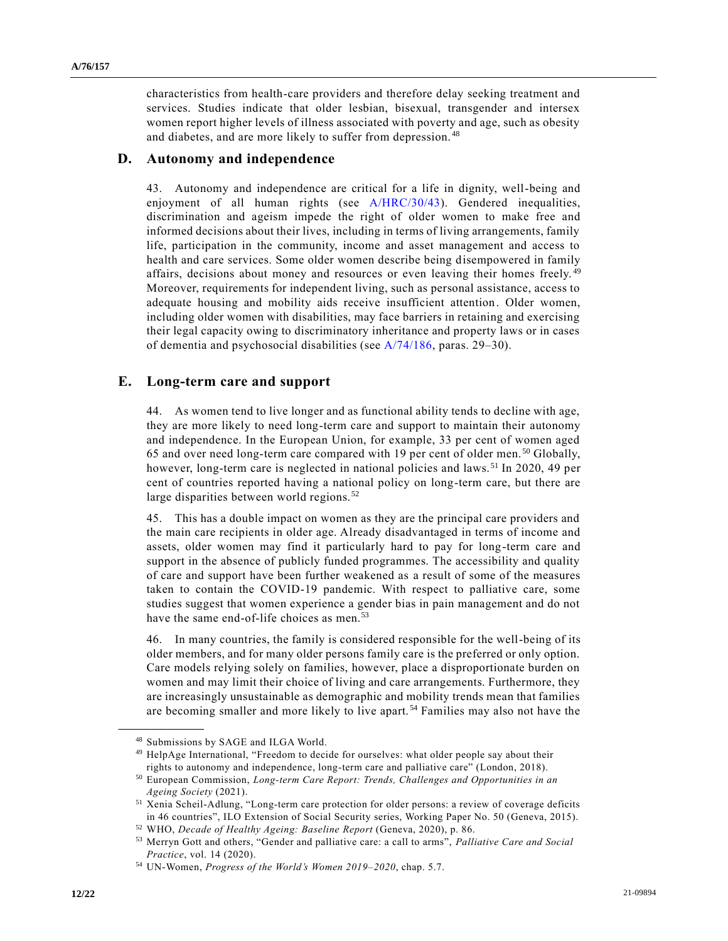characteristics from health-care providers and therefore delay seeking treatment and services. Studies indicate that older lesbian, bisexual, transgender and intersex women report higher levels of illness associated with poverty and age, such as obesity and diabetes, and are more likely to suffer from depression.<sup>48</sup>

#### **D. Autonomy and independence**

43. Autonomy and independence are critical for a life in dignity, well-being and enjoyment of all human rights (see [A/HRC/30/43\)](https://undocs.org/en/A/HRC/30/43). Gendered inequalities, discrimination and ageism impede the right of older women to make free and informed decisions about their lives, including in terms of living arrangements, family life, participation in the community, income and asset management and access to health and care services. Some older women describe being disempowered in family affairs, decisions about money and resources or even leaving their homes freely. <sup>49</sup> Moreover, requirements for independent living, such as personal assistance, access to adequate housing and mobility aids receive insufficient attention. Older women, including older women with disabilities, may face barriers in retaining and exercising their legal capacity owing to discriminatory inheritance and property laws or in cases of dementia and psychosocial disabilities (see [A/74/186,](https://undocs.org/en/A/74/186) paras. 29–30).

#### **E. Long-term care and support**

44. As women tend to live longer and as functional ability tends to decline with age, they are more likely to need long-term care and support to maintain their autonomy and independence. In the European Union, for example, 33 per cent of women aged 65 and over need long-term care compared with 19 per cent of older men. <sup>50</sup> Globally, however, long-term care is neglected in national policies and laws.<sup>51</sup> In 2020, 49 per cent of countries reported having a national policy on long-term care, but there are large disparities between world regions. <sup>52</sup>

45. This has a double impact on women as they are the principal care providers and the main care recipients in older age. Already disadvantaged in terms of income and assets, older women may find it particularly hard to pay for long-term care and support in the absence of publicly funded programmes. The accessibility and quality of care and support have been further weakened as a result of some of the measures taken to contain the COVID-19 pandemic. With respect to palliative care, some studies suggest that women experience a gender bias in pain management and do not have the same end-of-life choices as men.<sup>53</sup>

46. In many countries, the family is considered responsible for the well-being of its older members, and for many older persons family care is the preferred or only option. Care models relying solely on families, however, place a disproportionate burden on women and may limit their choice of living and care arrangements. Furthermore, they are increasingly unsustainable as demographic and mobility trends mean that families are becoming smaller and more likely to live apart. <sup>54</sup> Families may also not have the

<sup>48</sup> Submissions by SAGE and ILGA World.

<sup>&</sup>lt;sup>49</sup> HelpAge International, "Freedom to decide for ourselves: what older people say about their rights to autonomy and independence, long-term care and palliative care" (London, 2018).

<sup>50</sup> European Commission, *Long-term Care Report: Trends, Challenges and Opportunities in an Ageing Society* (2021).

<sup>51</sup> Xenia Scheil-Adlung, "Long-term care protection for older persons: a review of coverage deficits in 46 countries", ILO Extension of Social Security series, Working Paper No. 50 (Geneva, 2015).

<sup>52</sup> WHO, *Decade of Healthy Ageing: Baseline Report* (Geneva, 2020), p. 86.

<sup>53</sup> Merryn Gott and others, "Gender and palliative care: a call to arms", *Palliative Care and Social Practice*, vol. 14 (2020).

<sup>54</sup> UN-Women, *Progress of the World's Women 2019–2020*, chap. 5.7.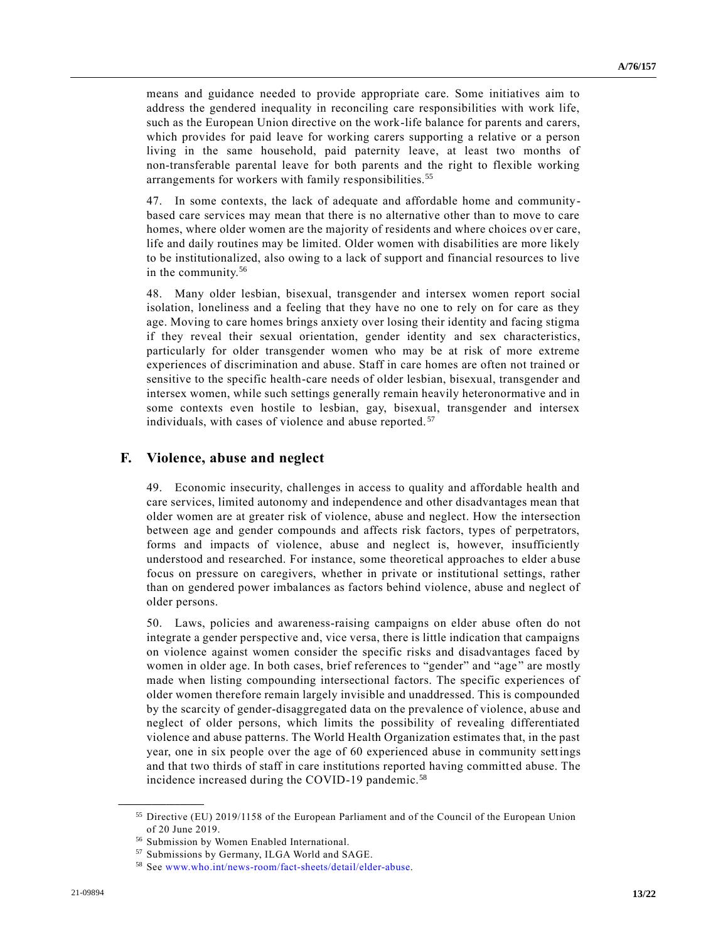means and guidance needed to provide appropriate care. Some initiatives aim to address the gendered inequality in reconciling care responsibilities with work life, such as the European Union directive on the work-life balance for parents and carers, which provides for paid leave for working carers supporting a relative or a person living in the same household, paid paternity leave, at least two months of non-transferable parental leave for both parents and the right to flexible working arrangements for workers with family responsibilities.<sup>55</sup>

47. In some contexts, the lack of adequate and affordable home and communitybased care services may mean that there is no alternative other than to move to care homes, where older women are the majority of residents and where choices over care, life and daily routines may be limited. Older women with disabilities are more likely to be institutionalized, also owing to a lack of support and financial resources to live in the community.<sup>56</sup>

48. Many older lesbian, bisexual, transgender and intersex women report social isolation, loneliness and a feeling that they have no one to rely on for care as they age. Moving to care homes brings anxiety over losing their identity and facing stigma if they reveal their sexual orientation, gender identity and sex characteristics, particularly for older transgender women who may be at risk of more extreme experiences of discrimination and abuse. Staff in care homes are often not trained or sensitive to the specific health-care needs of older lesbian, bisexual, transgender and intersex women, while such settings generally remain heavily heteronormative and in some contexts even hostile to lesbian, gay, bisexual, transgender and intersex individuals, with cases of violence and abuse reported. <sup>57</sup>

#### **F. Violence, abuse and neglect**

49. Economic insecurity, challenges in access to quality and affordable health and care services, limited autonomy and independence and other disadvantages mean that older women are at greater risk of violence, abuse and neglect. How the intersection between age and gender compounds and affects risk factors, types of perpetrators, forms and impacts of violence, abuse and neglect is, however, insufficiently understood and researched. For instance, some theoretical approaches to elder abuse focus on pressure on caregivers, whether in private or institutional settings, rather than on gendered power imbalances as factors behind violence, abuse and neglect of older persons.

50. Laws, policies and awareness-raising campaigns on elder abuse often do not integrate a gender perspective and, vice versa, there is little indication that campaigns on violence against women consider the specific risks and disadvantages faced by women in older age. In both cases, brief references to "gender" and "age" are mostly made when listing compounding intersectional factors. The specific experiences of older women therefore remain largely invisible and unaddressed. This is compounded by the scarcity of gender-disaggregated data on the prevalence of violence, abuse and neglect of older persons, which limits the possibility of revealing differentiated violence and abuse patterns. The World Health Organization estimates that, in the past year, one in six people over the age of 60 experienced abuse in community settings and that two thirds of staff in care institutions reported having committ ed abuse. The incidence increased during the COVID-19 pandemic.<sup>58</sup>

<sup>55</sup> Directive (EU) 2019/1158 of the European Parliament and of the Council of the European Union of 20 June 2019.

<sup>56</sup> Submission by Women Enabled International.

<sup>57</sup> Submissions by Germany, ILGA World and SAGE.

<sup>58</sup> See [www.who.int/news-room/fact-sheets/detail/elder-abuse.](https://www.who.int/news-room/fact-sheets/detail/elder-abuse)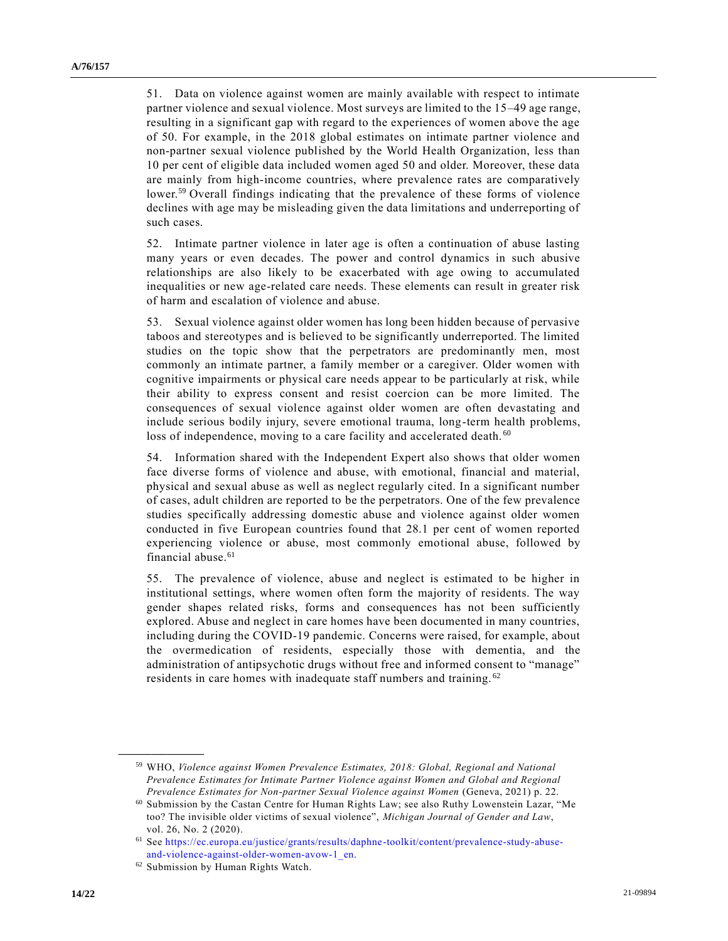51. Data on violence against women are mainly available with respect to intimate partner violence and sexual violence. Most surveys are limited to the 15–49 age range, resulting in a significant gap with regard to the experiences of women above the age of 50. For example, in the 2018 global estimates on intimate partner violence and non-partner sexual violence published by the World Health Organization, less than 10 per cent of eligible data included women aged 50 and older. Moreover, these data are mainly from high-income countries, where prevalence rates are comparatively lower.<sup>59</sup> Overall findings indicating that the prevalence of these forms of violence declines with age may be misleading given the data limitations and underreporting of such cases.

52. Intimate partner violence in later age is often a continuation of abuse lasting many years or even decades. The power and control dynamics in such abusive relationships are also likely to be exacerbated with age owing to accumulated inequalities or new age-related care needs. These elements can result in greater risk of harm and escalation of violence and abuse.

53. Sexual violence against older women has long been hidden because of pervasive taboos and stereotypes and is believed to be significantly underreported. The limited studies on the topic show that the perpetrators are predominantly men, most commonly an intimate partner, a family member or a caregiver. Older women with cognitive impairments or physical care needs appear to be particularly at risk, while their ability to express consent and resist coercion can be more limited. The consequences of sexual violence against older women are often devastating and include serious bodily injury, severe emotional trauma, long-term health problems, loss of independence, moving to a care facility and accelerated death.<sup>60</sup>

54. Information shared with the Independent Expert also shows that older women face diverse forms of violence and abuse, with emotional, financial and material, physical and sexual abuse as well as neglect regularly cited. In a significant number of cases, adult children are reported to be the perpetrators. One of the few prevalence studies specifically addressing domestic abuse and violence against older women conducted in five European countries found that 28.1 per cent of women reported experiencing violence or abuse, most commonly emotional abuse, followed by financial abuse.<sup>61</sup>

55. The prevalence of violence, abuse and neglect is estimated to be higher in institutional settings, where women often form the majority of residents. The way gender shapes related risks, forms and consequences has not been sufficiently explored. Abuse and neglect in care homes have been documented in many countries, including during the COVID-19 pandemic. Concerns were raised, for example, about the overmedication of residents, especially those with dementia, and the administration of antipsychotic drugs without free and informed consent to "manage" residents in care homes with inadequate staff numbers and training. <sup>62</sup>

<sup>59</sup> WHO, *Violence against Women Prevalence Estimates, 2018: Global, Regional and National Prevalence Estimates for Intimate Partner Violence against Women and Global and Regional Prevalence Estimates for Non-partner Sexual Violence against Women* (Geneva, 2021) p. 22.

<sup>60</sup> Submission by the Castan Centre for Human Rights Law; see also Ruthy Lowenstein Lazar, "Me too? The invisible older victims of sexual violence", *Michigan Journal of Gender and Law*, vol. 26, No. 2 (2020).

<sup>61</sup> See [https://ec.europa.eu/justice/grants/results/daphne-toolkit/content/prevalence-study-abuse](https://ec.europa.eu/justice/grants/results/daphne-toolkit/content/prevalence-study-abuse-and-violence-against-older-women-avow-1_en)[and-violence-against-older-women-avow-1\\_en.](https://ec.europa.eu/justice/grants/results/daphne-toolkit/content/prevalence-study-abuse-and-violence-against-older-women-avow-1_en)

<sup>62</sup> Submission by Human Rights Watch.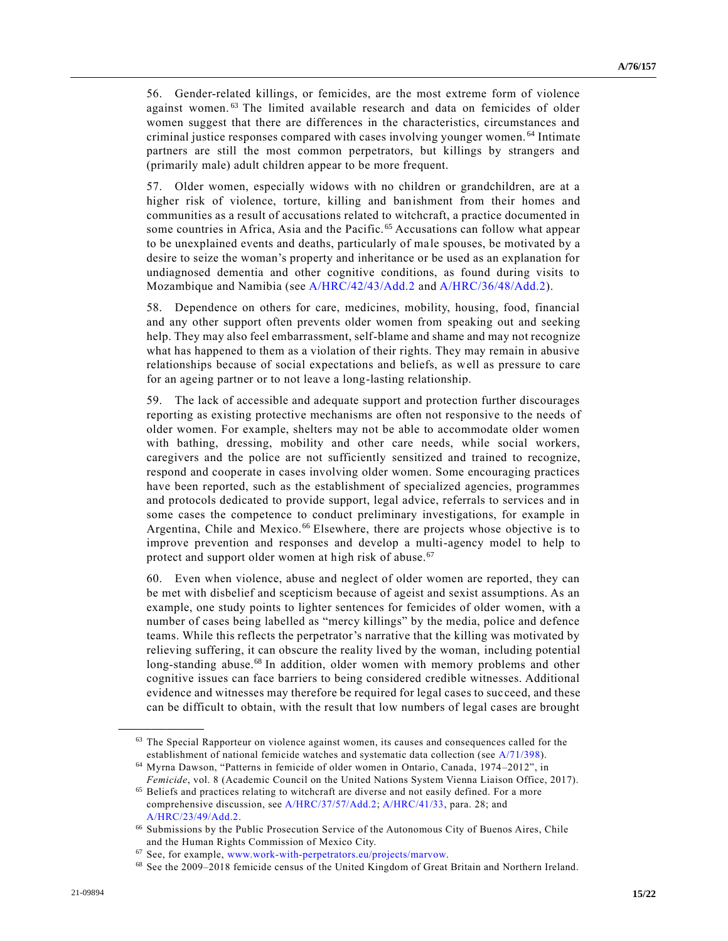56. Gender-related killings, or femicides, are the most extreme form of violence against women.<sup>63</sup> The limited available research and data on femicides of older women suggest that there are differences in the characteristics, circumstances and criminal justice responses compared with cases involving younger women. <sup>64</sup> Intimate partners are still the most common perpetrators, but killings by strangers and (primarily male) adult children appear to be more frequent.

57. Older women, especially widows with no children or grandchildren, are at a higher risk of violence, torture, killing and banishment from their homes and communities as a result of accusations related to witchcraft, a practice documented in some countries in Africa, Asia and the Pacific.<sup>65</sup> Accusations can follow what appear to be unexplained events and deaths, particularly of male spouses, be motivated by a desire to seize the woman's property and inheritance or be used as an explanation for undiagnosed dementia and other cognitive conditions, as found during visits to Mozambique and Namibia (see [A/HRC/42/43/Add.2](https://undocs.org/en/A/HRC/42/43/Add.2) and [A/HRC/36/48/Add.2\)](https://undocs.org/en/A/HRC/36/48/Add.2).

58. Dependence on others for care, medicines, mobility, housing, food, financial and any other support often prevents older women from speaking out and seeking help. They may also feel embarrassment, self-blame and shame and may not recognize what has happened to them as a violation of their rights. They may remain in abusive relationships because of social expectations and beliefs, as well as pressure to care for an ageing partner or to not leave a long-lasting relationship.

59. The lack of accessible and adequate support and protection further discourages reporting as existing protective mechanisms are often not responsive to the needs of older women. For example, shelters may not be able to accommodate older women with bathing, dressing, mobility and other care needs, while social workers, caregivers and the police are not sufficiently sensitized and trained to recognize, respond and cooperate in cases involving older women. Some encouraging practices have been reported, such as the establishment of specialized agencies, programmes and protocols dedicated to provide support, legal advice, referrals to services and in some cases the competence to conduct preliminary investigations, for example in Argentina, Chile and Mexico.<sup>66</sup> Elsewhere, there are projects whose objective is to improve prevention and responses and develop a multi-agency model to help to protect and support older women at high risk of abuse.<sup>67</sup>

60. Even when violence, abuse and neglect of older women are reported, they can be met with disbelief and scepticism because of ageist and sexist assumptions. As an example, one study points to lighter sentences for femicides of older women, with a number of cases being labelled as "mercy killings" by the media, police and defence teams. While this reflects the perpetrator's narrative that the killing was motivated by relieving suffering, it can obscure the reality lived by the woman, including potential long-standing abuse.<sup>68</sup> In addition, older women with memory problems and other cognitive issues can face barriers to being considered credible witnesses. Additional evidence and witnesses may therefore be required for legal cases to succeed, and these can be difficult to obtain, with the result that low numbers of legal cases are brought

<sup>&</sup>lt;sup>63</sup> The Special Rapporteur on violence against women, its causes and consequences called for the establishment of national femicide watches and systematic data collection (see [A/71/398\)](https://undocs.org/en/A/71/398).

<sup>64</sup> Myrna Dawson, "Patterns in femicide of older women in Ontario, Canada, 1974–2012", in *Femicide*, vol. 8 (Academic Council on the United Nations System Vienna Liaison Office, 2017).

<sup>65</sup> Beliefs and practices relating to witchcraft are diverse and not easily defined. For a more comprehensive discussion, se[e A/HRC/37/57/Add.2;](https://undocs.org/en/A/HRC/37/57/Add.2) [A/HRC/41/33,](https://undocs.org/en/A/HRC/41/33) para. 28; and [A/HRC/23/49/Add.2.](https://undocs.org/en/A/HRC/23/49/Add.2)

<sup>66</sup> Submissions by the Public Prosecution Service of the Autonomous City of Buenos Aires, Chile and the Human Rights Commission of Mexico City.

<sup>67</sup> See, for example, [www.work-with-perpetrators.eu/projects/marvow.](https://www.work-with-perpetrators.eu/projects/marvow)

<sup>68</sup> See the 2009–2018 femicide census of the United Kingdom of Great Britain and Northern Ireland.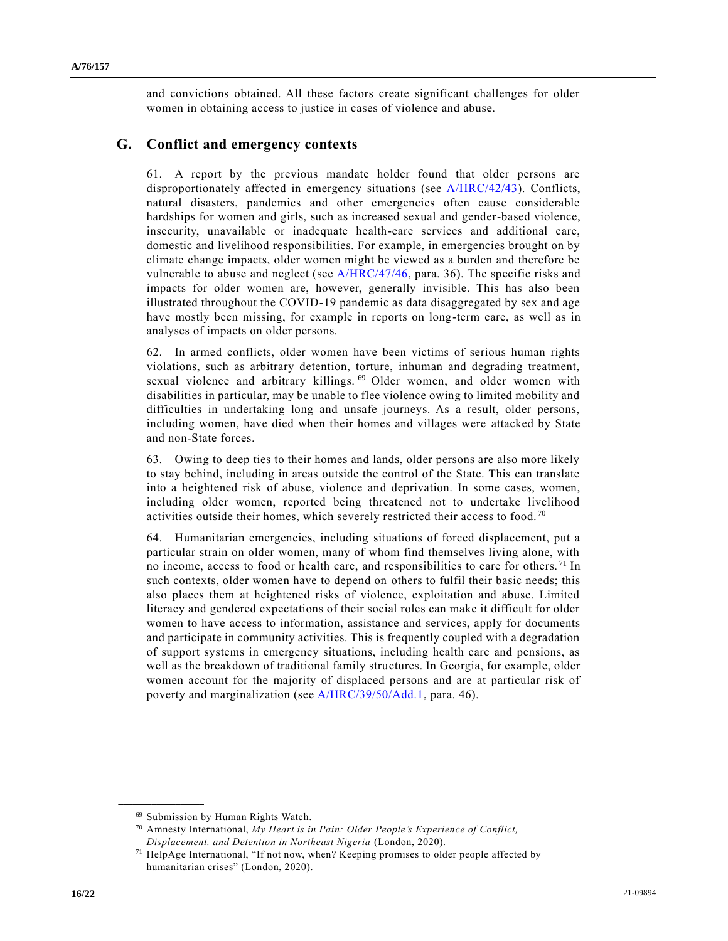and convictions obtained. All these factors create significant challenges for older women in obtaining access to justice in cases of violence and abuse.

#### **G. Conflict and emergency contexts**

61. A report by the previous mandate holder found that older persons are disproportionately affected in emergency situations (see [A/HRC/42/43\)](https://undocs.org/en/A/HRC/42/43). Conflicts, natural disasters, pandemics and other emergencies often cause considerable hardships for women and girls, such as increased sexual and gender-based violence, insecurity, unavailable or inadequate health-care services and additional care, domestic and livelihood responsibilities. For example, in emergencies brought on by climate change impacts, older women might be viewed as a burden and therefore be vulnerable to abuse and neglect (see [A/HRC/47/46,](https://undocs.org/en/A/HRC/47/46) para. 36). The specific risks and impacts for older women are, however, generally invisible. This has also been illustrated throughout the COVID-19 pandemic as data disaggregated by sex and age have mostly been missing, for example in reports on long-term care, as well as in analyses of impacts on older persons.

62. In armed conflicts, older women have been victims of serious human rights violations, such as arbitrary detention, torture, inhuman and degrading treatment, sexual violence and arbitrary killings. <sup>69</sup> Older women, and older women with disabilities in particular, may be unable to flee violence owing to limited mobility and difficulties in undertaking long and unsafe journeys. As a result, older persons, including women, have died when their homes and villages were attacked by State and non-State forces.

63. Owing to deep ties to their homes and lands, older persons are also more likely to stay behind, including in areas outside the control of the State. This can translate into a heightened risk of abuse, violence and deprivation. In some cases, women, including older women, reported being threatened not to undertake livelihood activities outside their homes, which severely restricted their access to food. <sup>70</sup>

64. Humanitarian emergencies, including situations of forced displacement, put a particular strain on older women, many of whom find themselves living alone, with no income, access to food or health care, and responsibilities to care for others. <sup>71</sup> In such contexts, older women have to depend on others to fulfil their basic needs; this also places them at heightened risks of violence, exploitation and abuse. Limited literacy and gendered expectations of their social roles can make it difficult for older women to have access to information, assistance and services, apply for documents and participate in community activities. This is frequently coupled with a degradation of support systems in emergency situations, including health care and pensions, as well as the breakdown of traditional family structures. In Georgia, for example, older women account for the majority of displaced persons and are at particular risk of poverty and marginalization (see [A/HRC/39/50/Add.1,](https://undocs.org/en/A/HRC/39/50/Add.1) para. 46).

<sup>69</sup> Submission by Human Rights Watch.

<sup>70</sup> Amnesty International, *My Heart is in Pain: Older People's Experience of Conflict, Displacement, and Detention in Northeast Nigeria* (London, 2020).

<sup>71</sup> HelpAge International, "If not now, when? Keeping promises to older people affected by humanitarian crises" (London, 2020).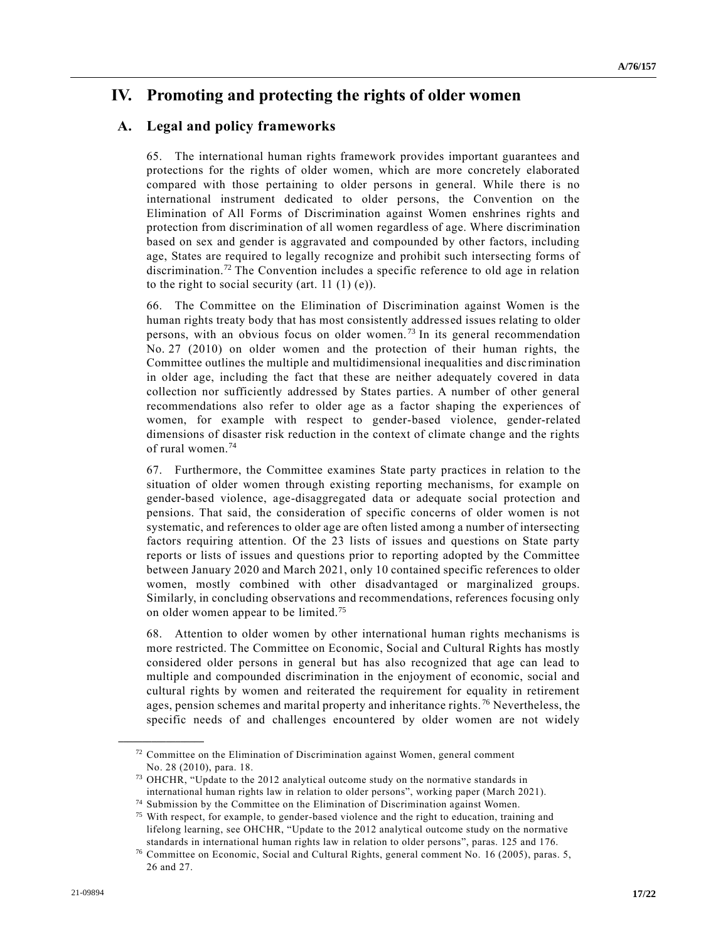### **IV. Promoting and protecting the rights of older women**

#### **A. Legal and policy frameworks**

65. The international human rights framework provides important guarantees and protections for the rights of older women, which are more concretely elaborated compared with those pertaining to older persons in general. While there is no international instrument dedicated to older persons, the Convention on the Elimination of All Forms of Discrimination against Women enshrines rights and protection from discrimination of all women regardless of age. Where discrimination based on sex and gender is aggravated and compounded by other factors, including age, States are required to legally recognize and prohibit such intersecting forms of discrimination.<sup>72</sup> The Convention includes a specific reference to old age in relation to the right to social security (art.  $11 (1) (e)$ ).

66. The Committee on the Elimination of Discrimination against Women is the human rights treaty body that has most consistently addressed issues relating to older persons, with an obvious focus on older women.<sup>73</sup> In its general recommendation No. 27 (2010) on older women and the protection of their human rights, the Committee outlines the multiple and multidimensional inequalities and discrimination in older age, including the fact that these are neither adequately covered in data collection nor sufficiently addressed by States parties. A number of other general recommendations also refer to older age as a factor shaping the experiences of women, for example with respect to gender-based violence, gender-related dimensions of disaster risk reduction in the context of climate change and the rights of rural women.<sup>74</sup>

67. Furthermore, the Committee examines State party practices in relation to the situation of older women through existing reporting mechanisms, for example on gender-based violence, age-disaggregated data or adequate social protection and pensions. That said, the consideration of specific concerns of older women is not systematic, and references to older age are often listed among a number of intersecting factors requiring attention. Of the 23 lists of issues and questions on State party reports or lists of issues and questions prior to reporting adopted by the Committee between January 2020 and March 2021, only 10 contained specific references to older women, mostly combined with other disadvantaged or marginalized groups. Similarly, in concluding observations and recommendations, references focusing only on older women appear to be limited.<sup>75</sup>

68. Attention to older women by other international human rights mechanisms is more restricted. The Committee on Economic, Social and Cultural Rights has mostly considered older persons in general but has also recognized that age can lead to multiple and compounded discrimination in the enjoyment of economic, social and cultural rights by women and reiterated the requirement for equality in retirement ages, pension schemes and marital property and inheritance rights.<sup>76</sup> Nevertheless, the specific needs of and challenges encountered by older women are not widely

<sup>&</sup>lt;sup>72</sup> Committee on the Elimination of Discrimination against Women, general comment No. 28 (2010), para. 18.

<sup>73</sup> OHCHR, "Update to the 2012 analytical outcome study on the normative standards in international human rights law in relation to older persons", working paper (March 2021).

<sup>74</sup> Submission by the Committee on the Elimination of Discrimination against Women.

<sup>&</sup>lt;sup>75</sup> With respect, for example, to gender-based violence and the right to education, training and lifelong learning, see OHCHR, "Update to the 2012 analytical outcome study on the normative standards in international human rights law in relation to older persons", paras. 125 and 176.

<sup>76</sup> Committee on Economic, Social and Cultural Rights, general comment No. 16 (2005), paras. 5, 26 and 27.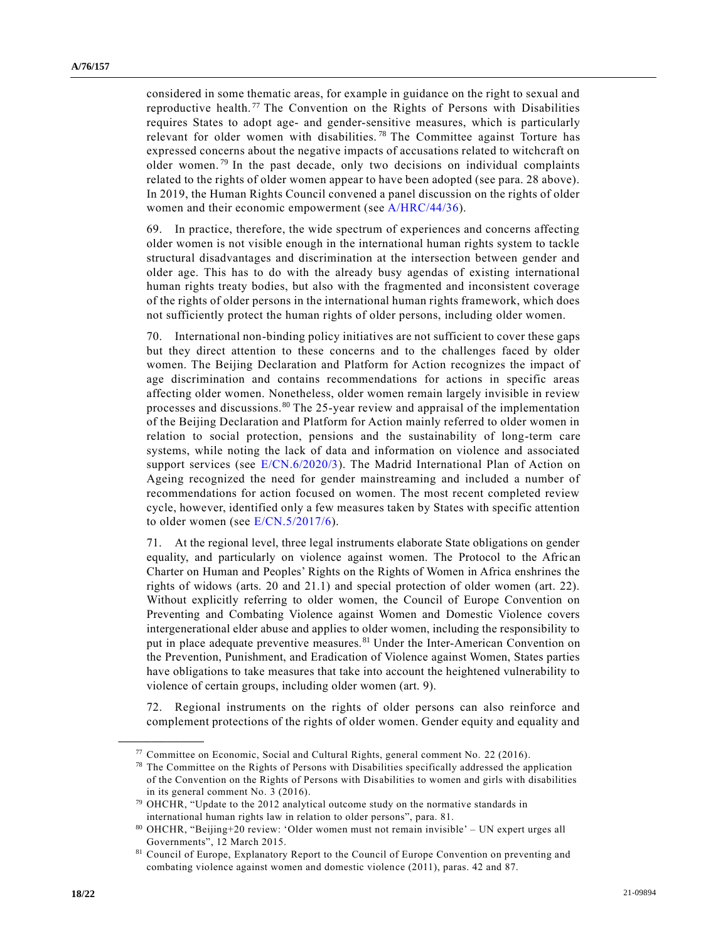considered in some thematic areas, for example in guidance on the right to sexual and reproductive health.<sup>77</sup> The Convention on the Rights of Persons with Disabilities requires States to adopt age- and gender-sensitive measures, which is particularly relevant for older women with disabilities.<sup>78</sup> The Committee against Torture has expressed concerns about the negative impacts of accusations related to witchcraft on older women.<sup>79</sup> In the past decade, only two decisions on individual complaints related to the rights of older women appear to have been adopted (see para. 28 above). In 2019, the Human Rights Council convened a panel discussion on the rights of older women and their economic empowerment (see [A/HRC/44/36\)](https://undocs.org/en/A/HRC/44/36).

69. In practice, therefore, the wide spectrum of experiences and concerns affecting older women is not visible enough in the international human rights system to tackle structural disadvantages and discrimination at the intersection between gender and older age. This has to do with the already busy agendas of existing international human rights treaty bodies, but also with the fragmented and inconsistent coverage of the rights of older persons in the international human rights framework, which does not sufficiently protect the human rights of older persons, including older women.

70. International non-binding policy initiatives are not sufficient to cover these gaps but they direct attention to these concerns and to the challenges faced by older women. The Beijing Declaration and Platform for Action recognizes the impact of age discrimination and contains recommendations for actions in specific areas affecting older women. Nonetheless, older women remain largely invisible in review processes and discussions.<sup>80</sup> The 25-year review and appraisal of the implementation of the Beijing Declaration and Platform for Action mainly referred to older women in relation to social protection, pensions and the sustainability of long-term care systems, while noting the lack of data and information on violence and associated support services (see [E/CN.6/2020/3\)](https://undocs.org/en/E/CN.6/2020/3). The Madrid International Plan of Action on Ageing recognized the need for gender mainstreaming and included a number of recommendations for action focused on women. The most recent completed review cycle, however, identified only a few measures taken by States with specific attention to older women (see [E/CN.5/2017/6\)](https://undocs.org/en/E/CN.5/2017/6).

71. At the regional level, three legal instruments elaborate State obligations on gender equality, and particularly on violence against women. The Protocol to the Afric an Charter on Human and Peoples' Rights on the Rights of Women in Africa enshrines the rights of widows (arts. 20 and 21.1) and special protection of older women (art. 22). Without explicitly referring to older women, the Council of Europe Convention on Preventing and Combating Violence against Women and Domestic Violence covers intergenerational elder abuse and applies to older women, including the responsibility to put in place adequate preventive measures.<sup>81</sup> Under the Inter-American Convention on the Prevention, Punishment, and Eradication of Violence against Women, States parties have obligations to take measures that take into account the heightened vulnerability to violence of certain groups, including older women (art. 9).

72. Regional instruments on the rights of older persons can also reinforce and complement protections of the rights of older women. Gender equity and equality and

 $77$  Committee on Economic, Social and Cultural Rights, general comment No. 22 (2016).

<sup>&</sup>lt;sup>78</sup> The Committee on the Rights of Persons with Disabilities specifically addressed the application of the Convention on the Rights of Persons with Disabilities to women and girls with disabilities in its general comment No. 3 (2016).

<sup>79</sup> OHCHR, "Update to the 2012 analytical outcome study on the normative standards in international human rights law in relation to older persons", para. 81.

<sup>80</sup> OHCHR, "Beijing+20 review: 'Older women must not remain invisible' – UN expert urges all Governments", 12 March 2015.

<sup>81</sup> Council of Europe, Explanatory Report to the Council of Europe Convention on preventing and combating violence against women and domestic violence (2011), paras. 42 and 87.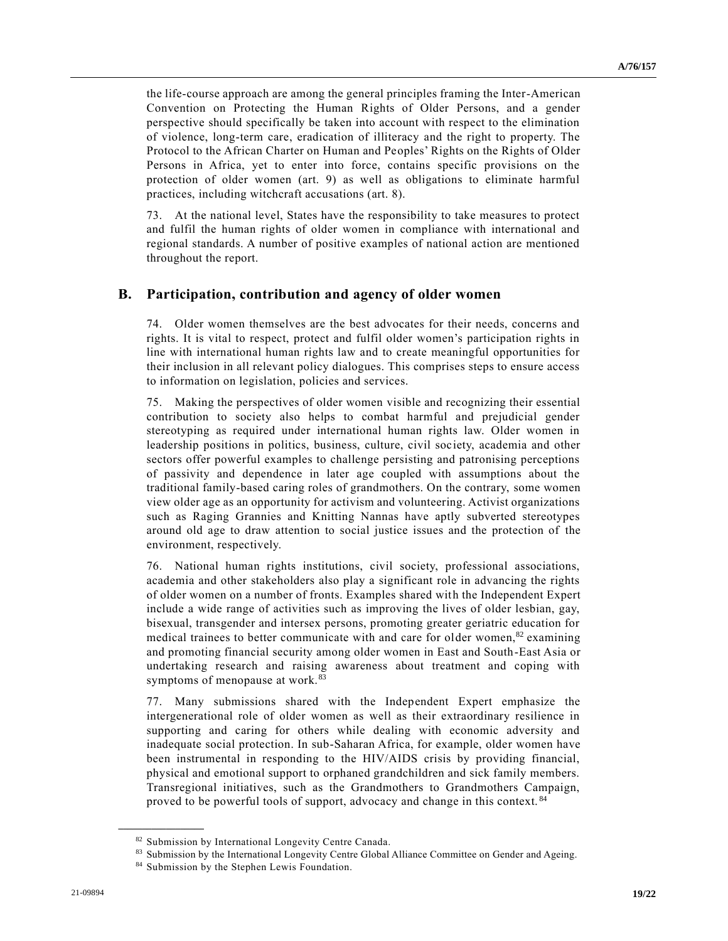the life-course approach are among the general principles framing the Inter-American Convention on Protecting the Human Rights of Older Persons, and a gender perspective should specifically be taken into account with respect to the elimination of violence, long-term care, eradication of illiteracy and the right to property. The Protocol to the African Charter on Human and Peoples' Rights on the Rights of Older Persons in Africa, yet to enter into force, contains specific provisions on the protection of older women (art. 9) as well as obligations to eliminate harmful practices, including witchcraft accusations (art. 8).

73. At the national level, States have the responsibility to take measures to protect and fulfil the human rights of older women in compliance with international and regional standards. A number of positive examples of national action are mentioned throughout the report.

#### **B. Participation, contribution and agency of older women**

74. Older women themselves are the best advocates for their needs, concerns and rights. It is vital to respect, protect and fulfil older women's participation rights in line with international human rights law and to create meaningful opportunities for their inclusion in all relevant policy dialogues. This comprises steps to ensure access to information on legislation, policies and services.

75. Making the perspectives of older women visible and recognizing their essential contribution to society also helps to combat harmful and prejudicial gender stereotyping as required under international human rights law. Older women in leadership positions in politics, business, culture, civil society, academia and other sectors offer powerful examples to challenge persisting and patronising perceptions of passivity and dependence in later age coupled with assumptions about the traditional family-based caring roles of grandmothers. On the contrary, some women view older age as an opportunity for activism and volunteering. Activist organizations such as Raging Grannies and Knitting Nannas have aptly subverted stereotypes around old age to draw attention to social justice issues and the protection of the environment, respectively.

76. National human rights institutions, civil society, professional associations, academia and other stakeholders also play a significant role in advancing the rights of older women on a number of fronts. Examples shared with the Independent Expert include a wide range of activities such as improving the lives of older lesbian, gay, bisexual, transgender and intersex persons, promoting greater geriatric education for medical trainees to better communicate with and care for older women, $82$  examining and promoting financial security among older women in East and South-East Asia or undertaking research and raising awareness about treatment and coping with symptoms of menopause at work.<sup>83</sup>

77. Many submissions shared with the Independent Expert emphasize the intergenerational role of older women as well as their extraordinary resilience in supporting and caring for others while dealing with economic adversity and inadequate social protection. In sub-Saharan Africa, for example, older women have been instrumental in responding to the HIV/AIDS crisis by providing financial, physical and emotional support to orphaned grandchildren and sick family members. Transregional initiatives, such as the Grandmothers to Grandmothers Campaign, proved to be powerful tools of support, advocacy and change in this context.<sup>84</sup>

<sup>82</sup> Submission by International Longevity Centre Canada.

<sup>83</sup> Submission by the International Longevity Centre Global Alliance Committee on Gender and Ageing.

<sup>84</sup> Submission by the Stephen Lewis Foundation.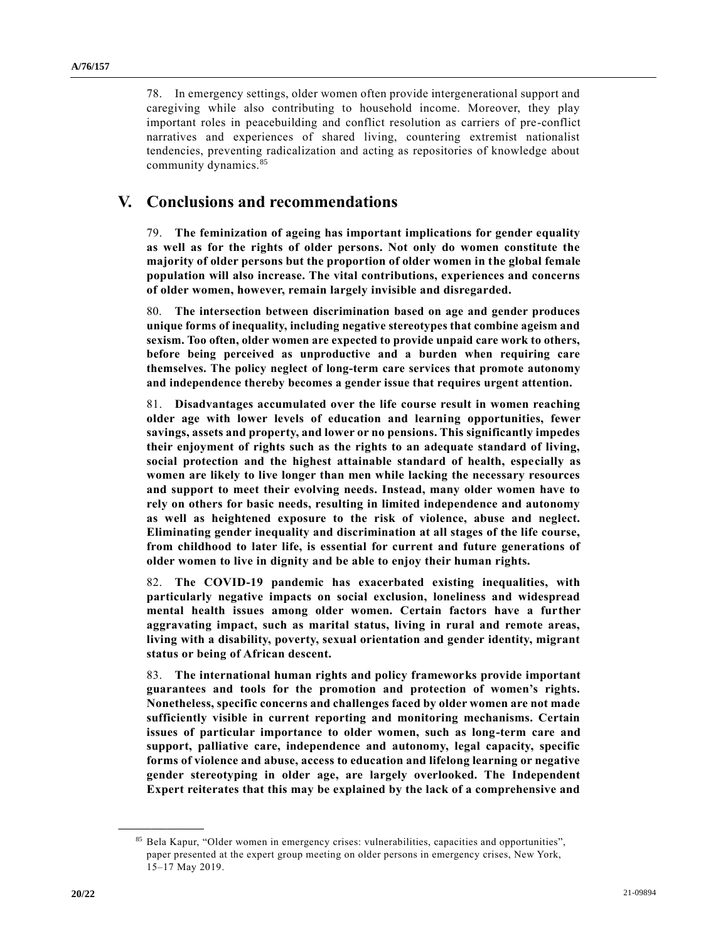78. In emergency settings, older women often provide intergenerational support and caregiving while also contributing to household income. Moreover, they play important roles in peacebuilding and conflict resolution as carriers of pre-conflict narratives and experiences of shared living, countering extremist nationalist tendencies, preventing radicalization and acting as repositories of knowledge about community dynamics.<sup>85</sup>

### **V. Conclusions and recommendations**

79. **The feminization of ageing has important implications for gender equality as well as for the rights of older persons. Not only do women constitute the majority of older persons but the proportion of older women in the global female population will also increase. The vital contributions, experiences and concerns of older women, however, remain largely invisible and disregarded.**

80. **The intersection between discrimination based on age and gender produces unique forms of inequality, including negative stereotypes that combine ageism and sexism. Too often, older women are expected to provide unpaid care work to others, before being perceived as unproductive and a burden when requiring care themselves. The policy neglect of long-term care services that promote autonomy and independence thereby becomes a gender issue that requires urgent attention.**

81. **Disadvantages accumulated over the life course result in women reaching older age with lower levels of education and learning opportunities, fewer savings, assets and property, and lower or no pensions. This significantly impedes their enjoyment of rights such as the rights to an adequate standard of living, social protection and the highest attainable standard of health, especially as women are likely to live longer than men while lacking the necessary resources and support to meet their evolving needs. Instead, many older women have to rely on others for basic needs, resulting in limited independence and autonomy as well as heightened exposure to the risk of violence, abuse and neglect. Eliminating gender inequality and discrimination at all stages of the life course, from childhood to later life, is essential for current and future generations of older women to live in dignity and be able to enjoy their human rights.**

82. **The COVID-19 pandemic has exacerbated existing inequalities, with particularly negative impacts on social exclusion, loneliness and widespread mental health issues among older women. Certain factors have a further aggravating impact, such as marital status, living in rural and remote areas, living with a disability, poverty, sexual orientation and gender identity, migrant status or being of African descent.**

83. **The international human rights and policy frameworks provide important guarantees and tools for the promotion and protection of women's rights. Nonetheless, specific concerns and challenges faced by older women are not made sufficiently visible in current reporting and monitoring mechanisms. Certain issues of particular importance to older women, such as long-term care and support, palliative care, independence and autonomy, legal capacity, specific forms of violence and abuse, access to education and lifelong learning or negative gender stereotyping in older age, are largely overlooked. The Independent Expert reiterates that this may be explained by the lack of a comprehensive and** 

<sup>85</sup> Bela Kapur, "Older women in emergency crises: vulnerabilities, capacities and opportunities", paper presented at the expert group meeting on older persons in emergency crises, New York, 15–17 May 2019.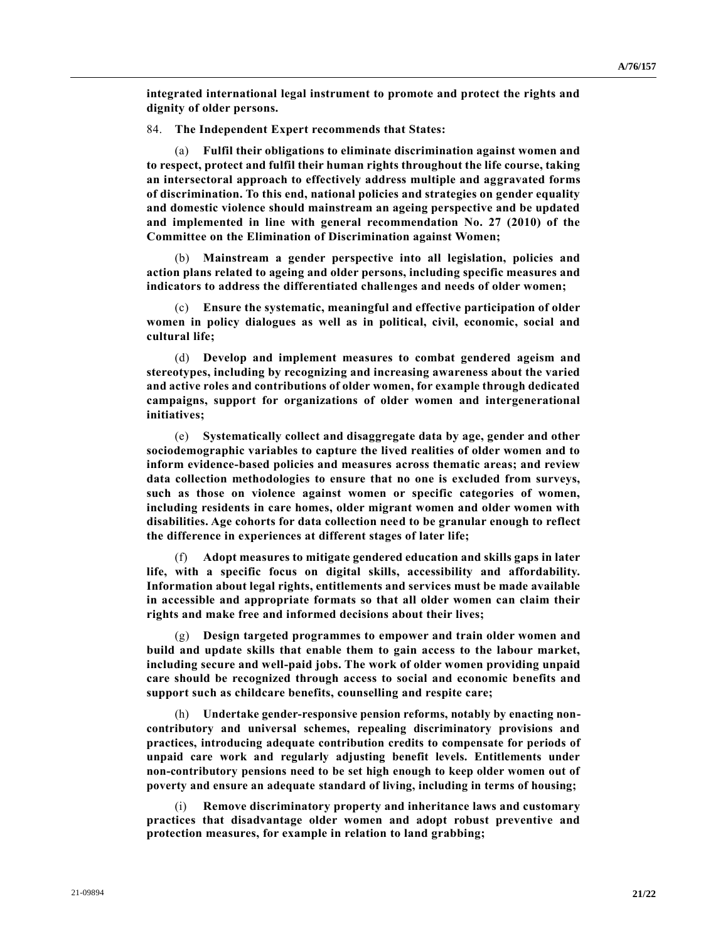**integrated international legal instrument to promote and protect the rights and dignity of older persons.**

84. **The Independent Expert recommends that States:**

(a) **Fulfil their obligations to eliminate discrimination against women and to respect, protect and fulfil their human rights throughout the life course, taking an intersectoral approach to effectively address multiple and aggravated forms of discrimination. To this end, national policies and strategies on gender equality and domestic violence should mainstream an ageing perspective and be updated and implemented in line with general recommendation No. 27 (2010) of the Committee on the Elimination of Discrimination against Women;**

(b) **Mainstream a gender perspective into all legislation, policies and action plans related to ageing and older persons, including specific measures and indicators to address the differentiated challenges and needs of older women;**

(c) **Ensure the systematic, meaningful and effective participation of older women in policy dialogues as well as in political, civil, economic, social and cultural life;**

(d) **Develop and implement measures to combat gendered ageism and stereotypes, including by recognizing and increasing awareness about the varied and active roles and contributions of older women, for example through dedicated campaigns, support for organizations of older women and intergenerational initiatives;**

(e) **Systematically collect and disaggregate data by age, gender and other sociodemographic variables to capture the lived realities of older women and to inform evidence-based policies and measures across thematic areas; and review data collection methodologies to ensure that no one is excluded from surveys, such as those on violence against women or specific categories of women, including residents in care homes, older migrant women and older women with disabilities. Age cohorts for data collection need to be granular enough to reflect the difference in experiences at different stages of later life;**

(f) **Adopt measures to mitigate gendered education and skills gaps in later life, with a specific focus on digital skills, accessibility and affordability. Information about legal rights, entitlements and services must be made available in accessible and appropriate formats so that all older women can claim their rights and make free and informed decisions about their lives;**

(g) **Design targeted programmes to empower and train older women and build and update skills that enable them to gain access to the labour market, including secure and well-paid jobs. The work of older women providing unpaid care should be recognized through access to social and economic benefits and support such as childcare benefits, counselling and respite care;**

(h) **Undertake gender-responsive pension reforms, notably by enacting noncontributory and universal schemes, repealing discriminatory provisions and practices, introducing adequate contribution credits to compensate for periods of unpaid care work and regularly adjusting benefit levels. Entitlements under non-contributory pensions need to be set high enough to keep older women out of poverty and ensure an adequate standard of living, including in terms of housing;**

(i) **Remove discriminatory property and inheritance laws and customary practices that disadvantage older women and adopt robust preventive and protection measures, for example in relation to land grabbing;**